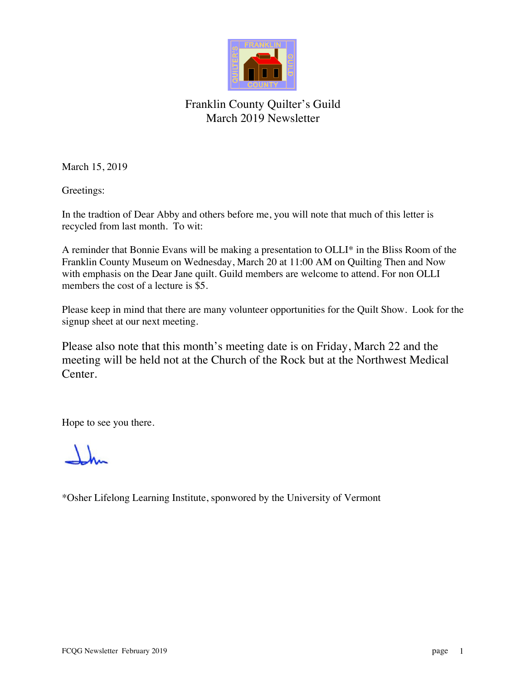

### Franklin County Quilter's Guild March 2019 Newsletter

March 15, 2019

Greetings:

In the tradtion of Dear Abby and others before me, you will note that much of this letter is recycled from last month. To wit:

A reminder that Bonnie Evans will be making a presentation to OLLI\* in the Bliss Room of the Franklin County Museum on Wednesday, March 20 at 11:00 AM on Quilting Then and Now with emphasis on the Dear Jane quilt. Guild members are welcome to attend. For non OLLI members the cost of a lecture is \$5.

Please keep in mind that there are many volunteer opportunities for the Quilt Show. Look for the signup sheet at our next meeting.

Please also note that this month's meeting date is on Friday, March 22 and the meeting will be held not at the Church of the Rock but at the Northwest Medical Center.

Hope to see you there.

\*Osher Lifelong Learning Institute, sponwored by the University of Vermont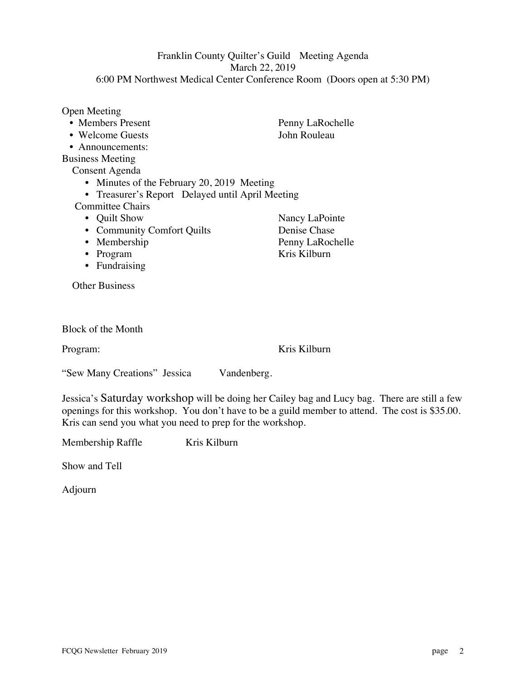#### Open Meeting • Members Present Penny LaRochelle

- 
- Announcements: Business Meeting

Consent Agenda

- Minutes of the February 20, 2019 Meeting
- Treasurer's Report Delayed until April Meeting

Committee Chairs

- Quilt Show Nancy LaPointe
- Community Comfort Quilts Denise Chase
- Membership Penny LaRochelle<br>
Program Kris Kilburn
- $\cdot$  Program
- Fundraising

Other Business

|  | <b>Block of the Month</b> |
|--|---------------------------|
|--|---------------------------|

Program: Kris Kilburn

"Sew Many Creations" Jessica Vandenberg.

Jessica's Saturday workshop will be doing her Cailey bag and Lucy bag. There are still a few openings for this workshop. You don't have to be a guild member to attend. The cost is \$35.00. Kris can send you what you need to prep for the workshop.

Membership Raffle Kris Kilburn

Show and Tell

Adjourn

• Welcome Guests John Rouleau

Franklin County Quilter's Guild Meeting Agenda March 22, 2019 6:00 PM Northwest Medical Center Conference Room (Doors open at 5:30 PM)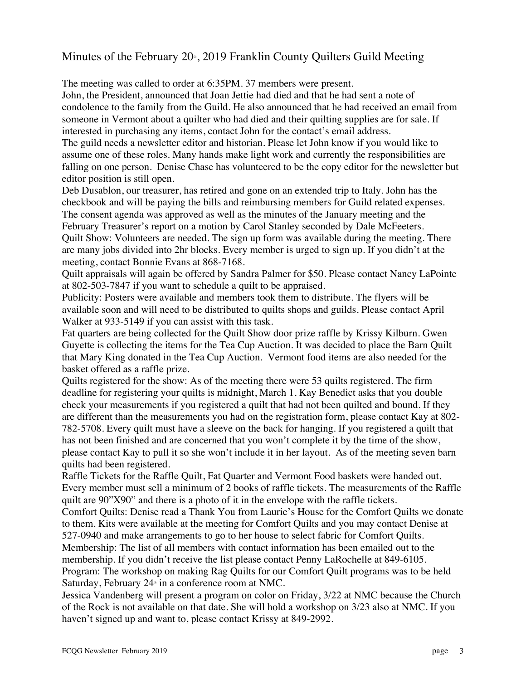### Minutes of the February  $20^{\circ}$ , 2019 Franklin County Quilters Guild Meeting

The meeting was called to order at 6:35PM. 37 members were present.

John, the President, announced that Joan Jettie had died and that he had sent a note of condolence to the family from the Guild. He also announced that he had received an email from someone in Vermont about a quilter who had died and their quilting supplies are for sale. If interested in purchasing any items, contact John for the contact's email address.

The guild needs a newsletter editor and historian. Please let John know if you would like to assume one of these roles. Many hands make light work and currently the responsibilities are falling on one person. Denise Chase has volunteered to be the copy editor for the newsletter but editor position is still open.

Deb Dusablon, our treasurer, has retired and gone on an extended trip to Italy. John has the checkbook and will be paying the bills and reimbursing members for Guild related expenses. The consent agenda was approved as well as the minutes of the January meeting and the February Treasurer's report on a motion by Carol Stanley seconded by Dale McFeeters. Quilt Show: Volunteers are needed. The sign up form was available during the meeting. There are many jobs divided into 2hr blocks. Every member is urged to sign up. If you didn't at the meeting, contact Bonnie Evans at 868-7168.

Quilt appraisals will again be offered by Sandra Palmer for \$50. Please contact Nancy LaPointe at 802-503-7847 if you want to schedule a quilt to be appraised.

Publicity: Posters were available and members took them to distribute. The flyers will be available soon and will need to be distributed to quilts shops and guilds. Please contact April Walker at 933-5149 if you can assist with this task.

Fat quarters are being collected for the Quilt Show door prize raffle by Krissy Kilburn. Gwen Guyette is collecting the items for the Tea Cup Auction. It was decided to place the Barn Quilt that Mary King donated in the Tea Cup Auction. Vermont food items are also needed for the basket offered as a raffle prize.

Quilts registered for the show: As of the meeting there were 53 quilts registered. The firm deadline for registering your quilts is midnight, March 1. Kay Benedict asks that you double check your measurements if you registered a quilt that had not been quilted and bound. If they are different than the measurements you had on the registration form, please contact Kay at 802- 782-5708. Every quilt must have a sleeve on the back for hanging. If you registered a quilt that has not been finished and are concerned that you won't complete it by the time of the show, please contact Kay to pull it so she won't include it in her layout. As of the meeting seven barn quilts had been registered.

Raffle Tickets for the Raffle Quilt, Fat Quarter and Vermont Food baskets were handed out. Every member must sell a minimum of 2 books of raffle tickets. The measurements of the Raffle quilt are 90"X90" and there is a photo of it in the envelope with the raffle tickets.

Comfort Quilts: Denise read a Thank You from Laurie's House for the Comfort Quilts we donate to them. Kits were available at the meeting for Comfort Quilts and you may contact Denise at 527-0940 and make arrangements to go to her house to select fabric for Comfort Quilts. Membership: The list of all members with contact information has been emailed out to the membership. If you didn't receive the list please contact Penny LaRochelle at 849-6105. Program: The workshop on making Rag Quilts for our Comfort Quilt programs was to be held

Saturday, February  $24$ <sup>th</sup> in a conference room at NMC.

Jessica Vandenberg will present a program on color on Friday, 3/22 at NMC because the Church of the Rock is not available on that date. She will hold a workshop on 3/23 also at NMC. If you haven't signed up and want to, please contact Krissy at 849-2992.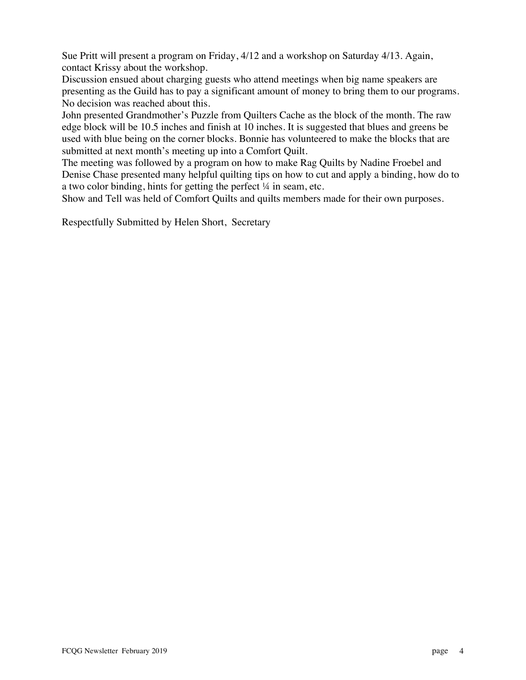Sue Pritt will present a program on Friday, 4/12 and a workshop on Saturday 4/13. Again, contact Krissy about the workshop.

Discussion ensued about charging guests who attend meetings when big name speakers are presenting as the Guild has to pay a significant amount of money to bring them to our programs. No decision was reached about this.

John presented Grandmother's Puzzle from Quilters Cache as the block of the month. The raw edge block will be 10.5 inches and finish at 10 inches. It is suggested that blues and greens be used with blue being on the corner blocks. Bonnie has volunteered to make the blocks that are submitted at next month's meeting up into a Comfort Quilt.

The meeting was followed by a program on how to make Rag Quilts by Nadine Froebel and Denise Chase presented many helpful quilting tips on how to cut and apply a binding, how do to a two color binding, hints for getting the perfect ¼ in seam, etc.

Show and Tell was held of Comfort Quilts and quilts members made for their own purposes.

Respectfully Submitted by Helen Short, Secretary